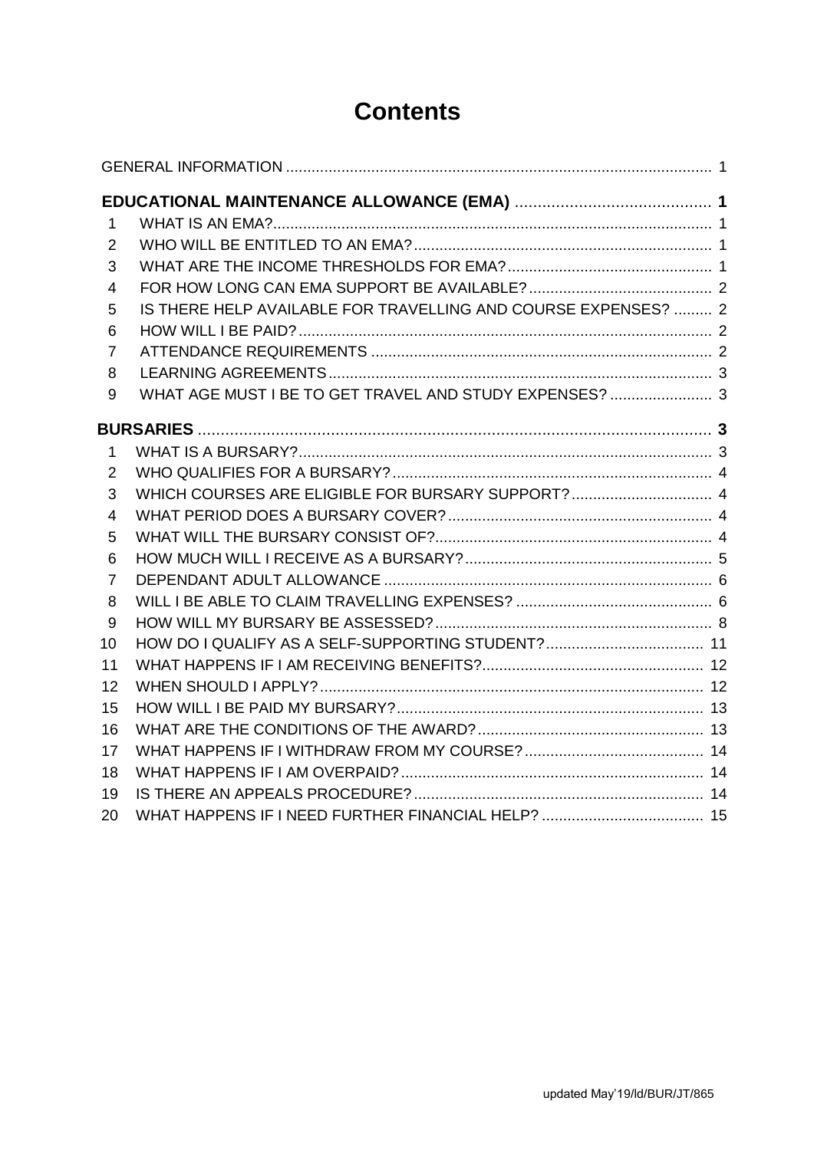# **Contents**

| 1              |                                                                |  |  |  |  |
|----------------|----------------------------------------------------------------|--|--|--|--|
| 2              |                                                                |  |  |  |  |
| 3              |                                                                |  |  |  |  |
| 4              |                                                                |  |  |  |  |
| 5              | IS THERE HELP AVAILABLE FOR TRAVELLING AND COURSE EXPENSES?  2 |  |  |  |  |
| 6              |                                                                |  |  |  |  |
| $\overline{7}$ |                                                                |  |  |  |  |
| 8              |                                                                |  |  |  |  |
| 9              | WHAT AGE MUST I BE TO GET TRAVEL AND STUDY EXPENSES?  3        |  |  |  |  |
|                |                                                                |  |  |  |  |
| $\mathbf{1}$   |                                                                |  |  |  |  |
| 2              |                                                                |  |  |  |  |
| 3              |                                                                |  |  |  |  |
| $\overline{4}$ |                                                                |  |  |  |  |
| 5              |                                                                |  |  |  |  |
| 6              |                                                                |  |  |  |  |
| $\overline{7}$ |                                                                |  |  |  |  |
| 8              |                                                                |  |  |  |  |
| 9              |                                                                |  |  |  |  |
| 10             |                                                                |  |  |  |  |
| 11             |                                                                |  |  |  |  |
| 12             |                                                                |  |  |  |  |
| 15             |                                                                |  |  |  |  |
| 16             |                                                                |  |  |  |  |
| 17             |                                                                |  |  |  |  |
| 18             |                                                                |  |  |  |  |
| 19             |                                                                |  |  |  |  |
| 20             |                                                                |  |  |  |  |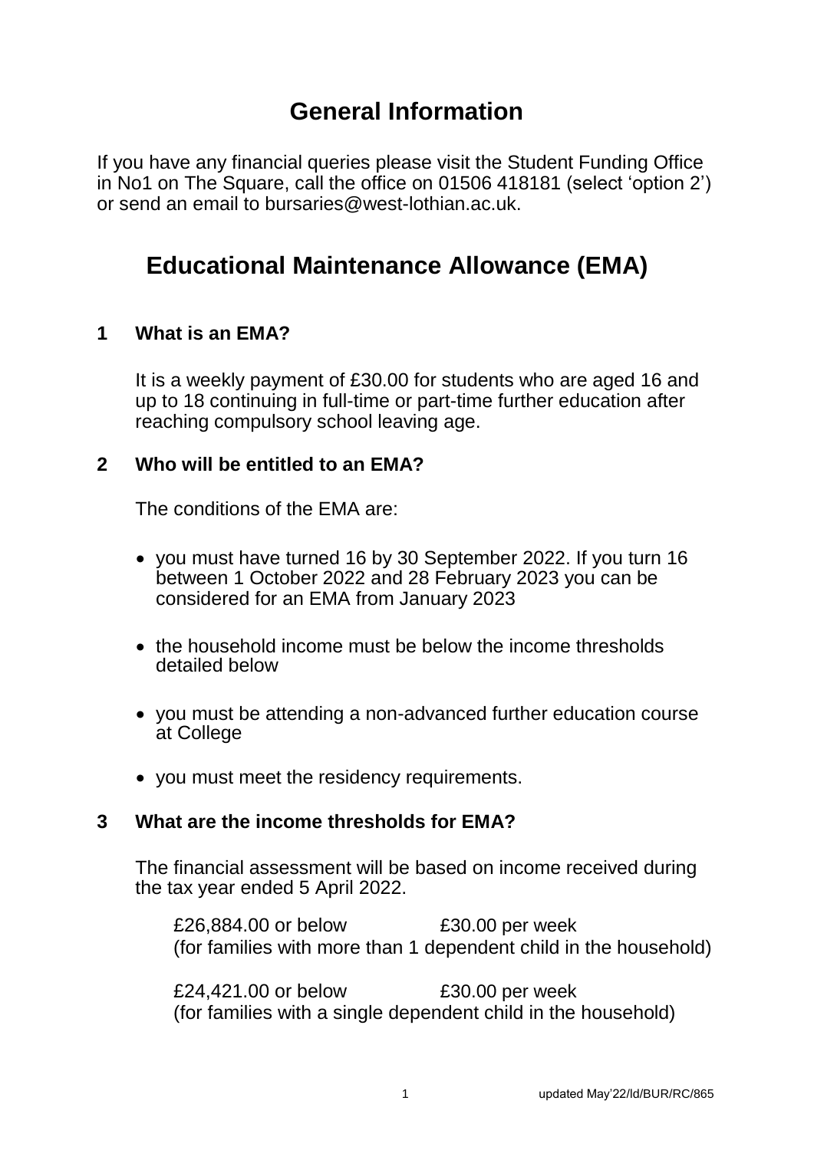## **General Information**

<span id="page-1-0"></span>If you have any financial queries please visit the Student Funding Office in No1 on The Square, call the office on 01506 418181 (select 'option 2') or send an email to bursaries@west-lothian ac.uk.

# **Educational Maintenance Allowance (EMA)**

## **1 What is an EMA?**

It is a weekly payment of £30.00 for students who are aged 16 and up to 18 continuing in full-time or part-time further education after reaching compulsory school leaving age.

#### **2 Who will be entitled to an EMA?**

The conditions of the EMA are:

- you must have turned 16 by 30 September 2022. If you turn 16 between 1 October 2022 and 28 February 2023 you can be considered for an EMA from January 2023
- the household income must be below the income thresholds detailed below
- you must be attending a non-advanced further education course at College
- you must meet the residency requirements.

#### **3 What are the income thresholds for EMA?**

The financial assessment will be based on income received during the tax year ended 5 April 2022.

£26,884.00 or below £30.00 per week (for families with more than 1 dependent child in the household)

£24,421.00 or below £30.00 per week (for families with a single dependent child in the household)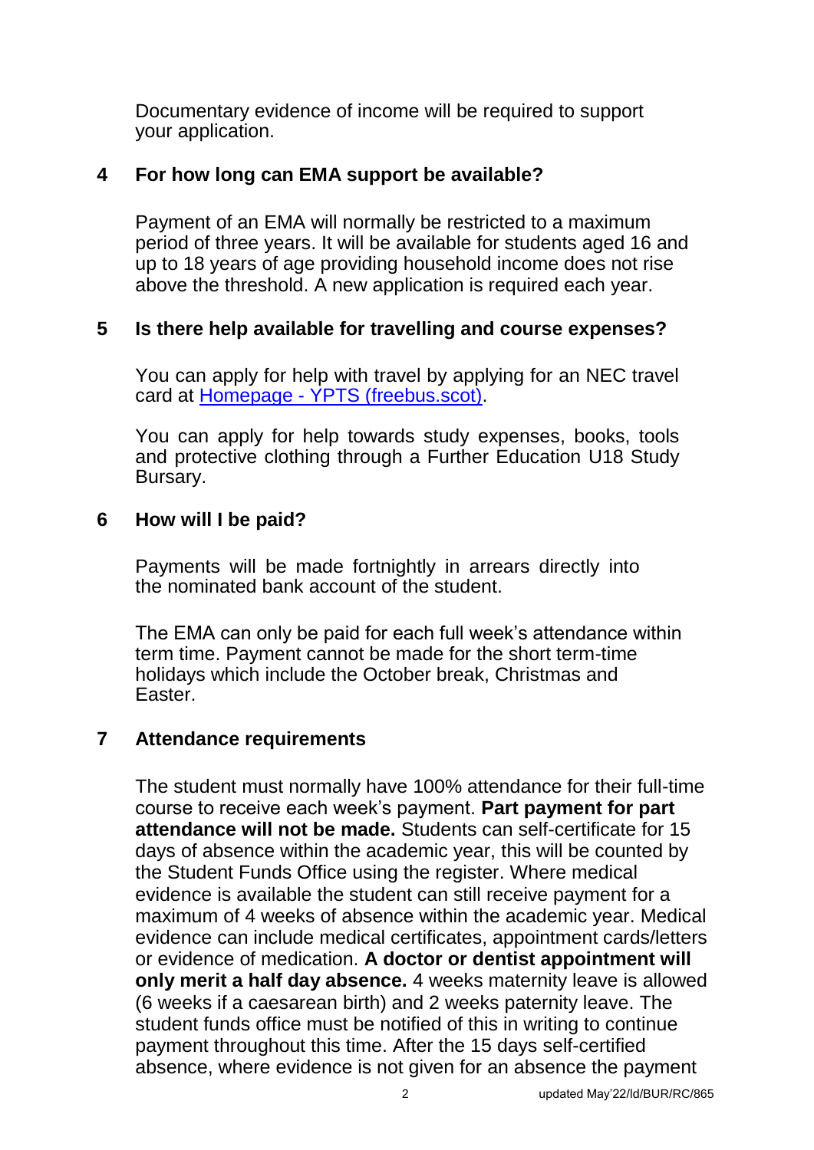<span id="page-2-0"></span>Documentary evidence of income will be required to support your application.

## **4 For how long can EMA support be available?**

Payment of an EMA will normally be restricted to a maximum period of three years. It will be available for students aged 16 and up to 18 years of age providing household income does not rise above the threshold. A new application is required each year.

## **5 Is there help available for travelling and course expenses?**

You can apply for help with travel by applying for an NEC travel card at Homepage - [YPTS \(freebus.scot\).](https://freebus.scot/)

You can apply for help towards study expenses, books, tools and protective clothing through a Further Education U18 Study Bursary.

## **6 How will I be paid?**

Payments will be made fortnightly in arrears directly into the nominated bank account of the student.

The EMA can only be paid for each full week's attendance within term time. Payment cannot be made for the short term-time holidays which include the October break, Christmas and Easter.

## **7 Attendance requirements**

The student must normally have 100% attendance for their full-time course to receive each week's payment. **Part payment for part attendance will not be made.** Students can self-certificate for 15 days of absence within the academic year, this will be counted by the Student Funds Office using the register. Where medical evidence is available the student can still receive payment for a maximum of 4 weeks of absence within the academic year. Medical evidence can include medical certificates, appointment cards/letters or evidence of medication. **A doctor or dentist appointment will only merit a half day absence.** 4 weeks maternity leave is allowed (6 weeks if a caesarean birth) and 2 weeks paternity leave. The student funds office must be notified of this in writing to continue payment throughout this time. After the 15 days self-certified absence, where evidence is not given for an absence the payment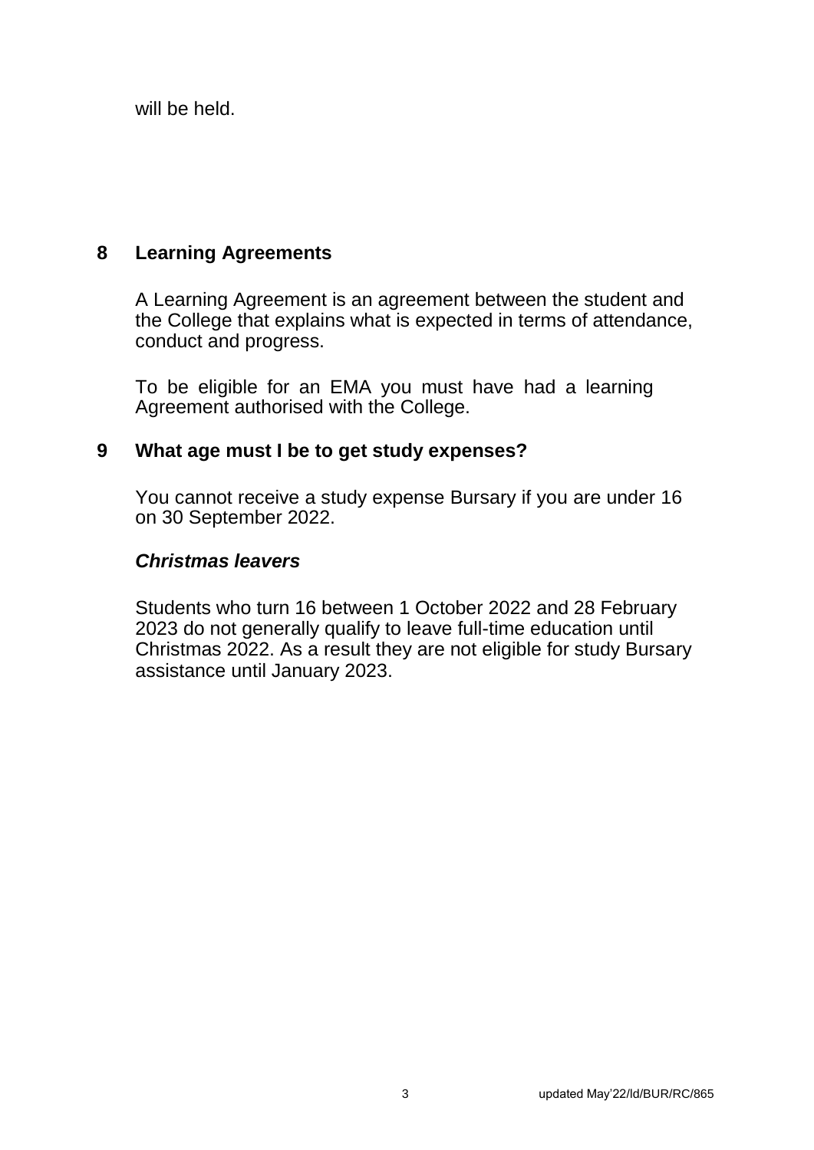will be held.

## <span id="page-3-0"></span>**8 Learning Agreements**

A Learning Agreement is an agreement between the student and the College that explains what is expected in terms of attendance, conduct and progress.

To be eligible for an EMA you must have had a learning Agreement authorised with the College.

## **9 What age must I be to get study expenses?**

You cannot receive a study expense Bursary if you are under 16 on 30 September 2022.

## *Christmas leavers*

Students who turn 16 between 1 October 2022 and 28 February 2023 do not generally qualify to leave full-time education until Christmas 2022. As a result they are not eligible for study Bursary assistance until January 2023.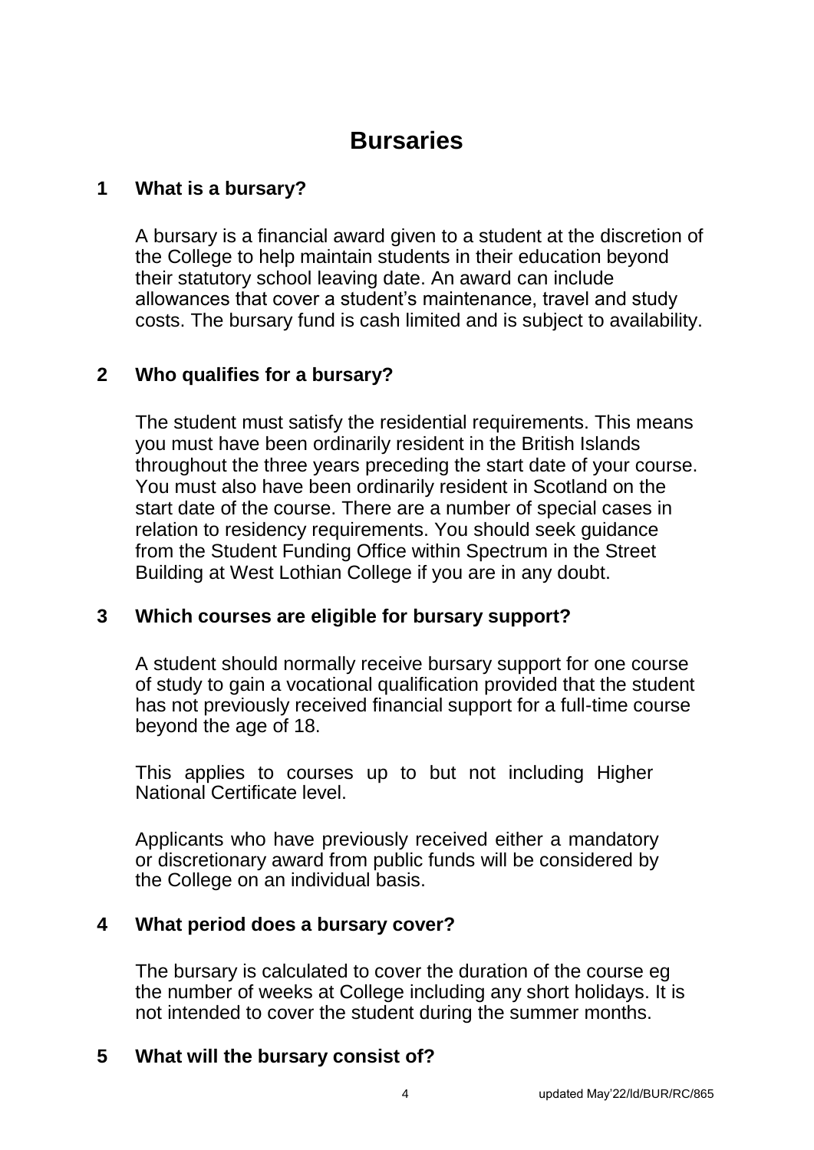# **Bursaries**

## **1 What is a bursary?**

A bursary is a financial award given to a student at the discretion of the College to help maintain students in their education beyond their statutory school leaving date. An award can include allowances that cover a student's maintenance, travel and study costs. The bursary fund is cash limited and is subject to availability.

## <span id="page-4-0"></span>**2 Who qualifies for a bursary?**

The student must satisfy the residential requirements. This means you must have been ordinarily resident in the British Islands throughout the three years preceding the start date of your course. You must also have been ordinarily resident in Scotland on the start date of the course. There are a number of special cases in relation to residency requirements. You should seek guidance from the Student Funding Office within Spectrum in the Street Building at West Lothian College if you are in any doubt.

## **3 Which courses are eligible for bursary support?**

A student should normally receive bursary support for one course of study to gain a vocational qualification provided that the student has not previously received financial support for a full-time course beyond the age of 18.

This applies to courses up to but not including Higher National Certificate level.

Applicants who have previously received either a mandatory or discretionary award from public funds will be considered by the College on an individual basis.

## **4 What period does a bursary cover?**

The bursary is calculated to cover the duration of the course eg the number of weeks at College including any short holidays. It is not intended to cover the student during the summer months.

## **5 What will the bursary consist of?**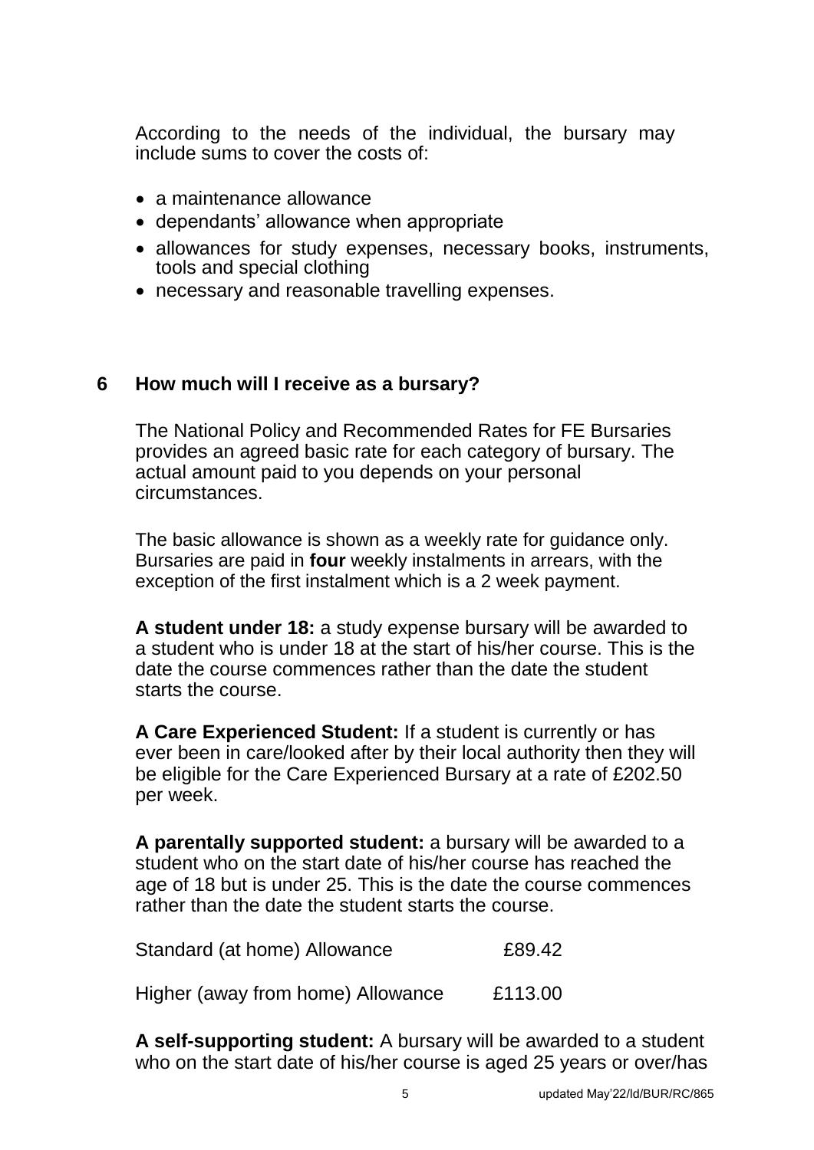According to the needs of the individual, the bursary may include sums to cover the costs of:

- a maintenance allowance
- dependants' allowance when appropriate
- allowances for study expenses, necessary books, instruments, tools and special clothing
- necessary and reasonable travelling expenses.

#### <span id="page-5-0"></span>**6 How much will I receive as a bursary?**

The National Policy and Recommended Rates for FE Bursaries provides an agreed basic rate for each category of bursary. The actual amount paid to you depends on your personal circumstances.

The basic allowance is shown as a weekly rate for guidance only. Bursaries are paid in **four** weekly instalments in arrears, with the exception of the first instalment which is a 2 week payment.

**A student under 18:** a study expense bursary will be awarded to a student who is under 18 at the start of his/her course. This is the date the course commences rather than the date the student starts the course.

**A Care Experienced Student:** If a student is currently or has ever been in care/looked after by their local authority then they will be eligible for the Care Experienced Bursary at a rate of £202.50 per week.

**A parentally supported student:** a bursary will be awarded to a student who on the start date of his/her course has reached the age of 18 but is under 25. This is the date the course commences rather than the date the student starts the course.

| Standard (at home) Allowance      | £89.42  |
|-----------------------------------|---------|
| Higher (away from home) Allowance | £113.00 |

**A self-supporting student:** A bursary will be awarded to a student who on the start date of his/her course is aged 25 years or over/has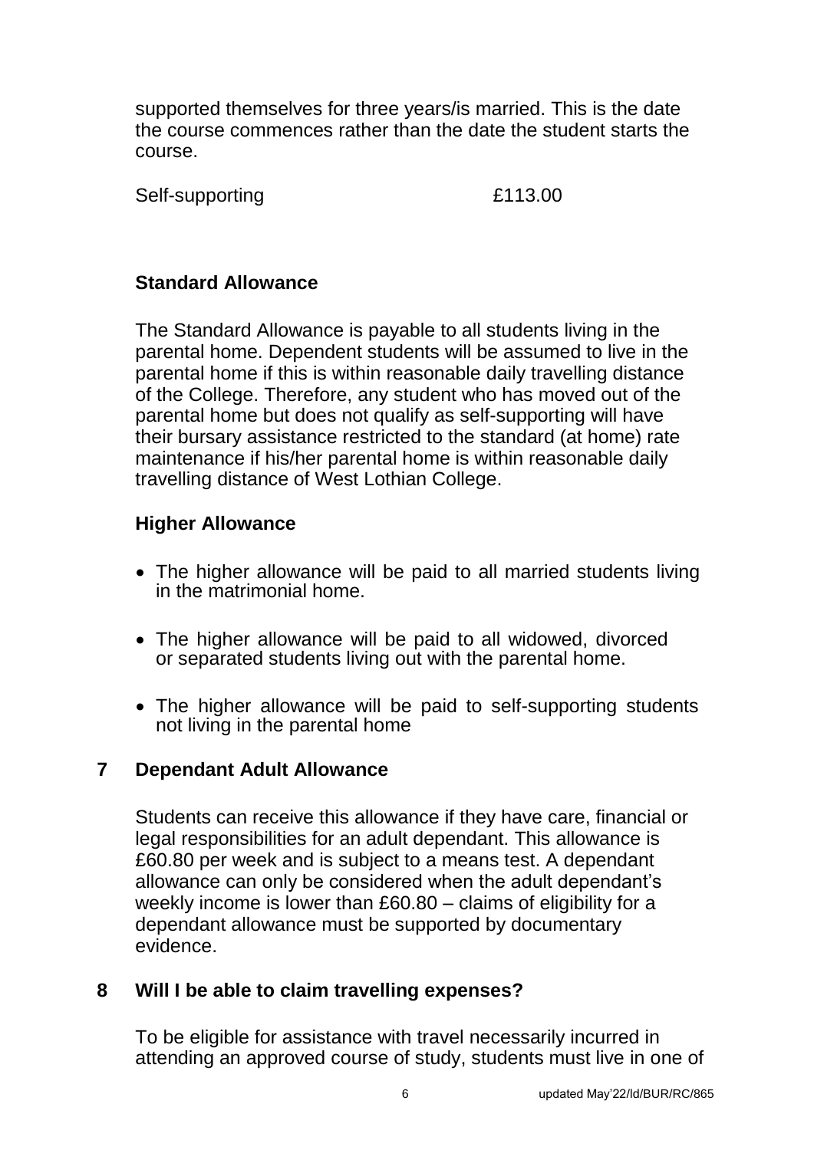supported themselves for three years/is married. This is the date the course commences rather than the date the student starts the course.

Self-supporting E113.00

<span id="page-6-0"></span>

## **Standard Allowance**

The Standard Allowance is payable to all students living in the parental home. Dependent students will be assumed to live in the parental home if this is within reasonable daily travelling distance of the College. Therefore, any student who has moved out of the parental home but does not qualify as self-supporting will have their bursary assistance restricted to the standard (at home) rate maintenance if his/her parental home is within reasonable daily travelling distance of West Lothian College.

## **Higher Allowance**

- The higher allowance will be paid to all married students living in the matrimonial home.
- The higher allowance will be paid to all widowed, divorced or separated students living out with the parental home.
- The higher allowance will be paid to self-supporting students not living in the parental home

## **7 Dependant Adult Allowance**

Students can receive this allowance if they have care, financial or legal responsibilities for an adult dependant. This allowance is £60.80 per week and is subject to a means test. A dependant allowance can only be considered when the adult dependant's weekly income is lower than £60.80 – claims of eligibility for a dependant allowance must be supported by documentary evidence.

## **8 Will I be able to claim travelling expenses?**

To be eligible for assistance with travel necessarily incurred in attending an approved course of study, students must live in one of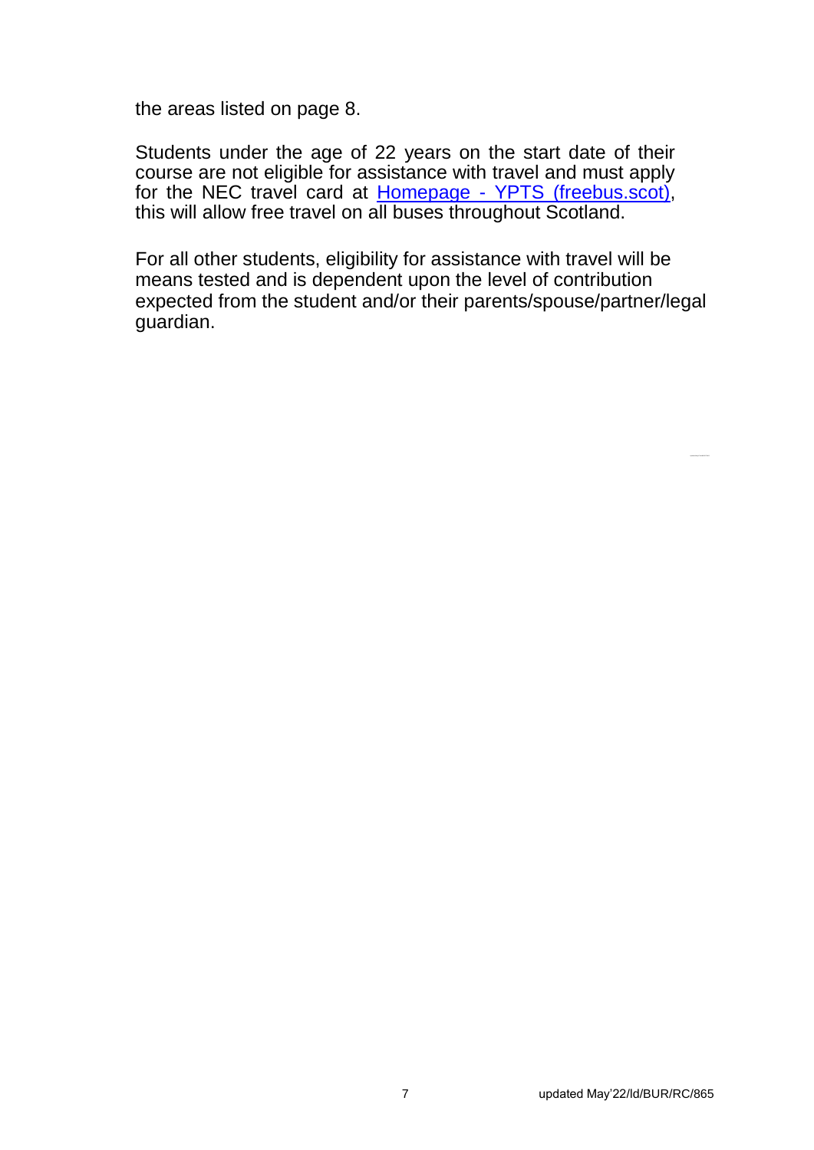the areas listed on page 8.

Students under the age of 22 years on the start date of their course are not eligible for assistance with travel and must apply for the NEC travel card at **Homepage - YPTS** (freebus.scot), this will allow free travel on all buses throughout Scotland.

For all other students, eligibility for assistance with travel will be means tested and is dependent upon the level of contribution expected from the student and/or their parents/spouse/partner/legal guardian.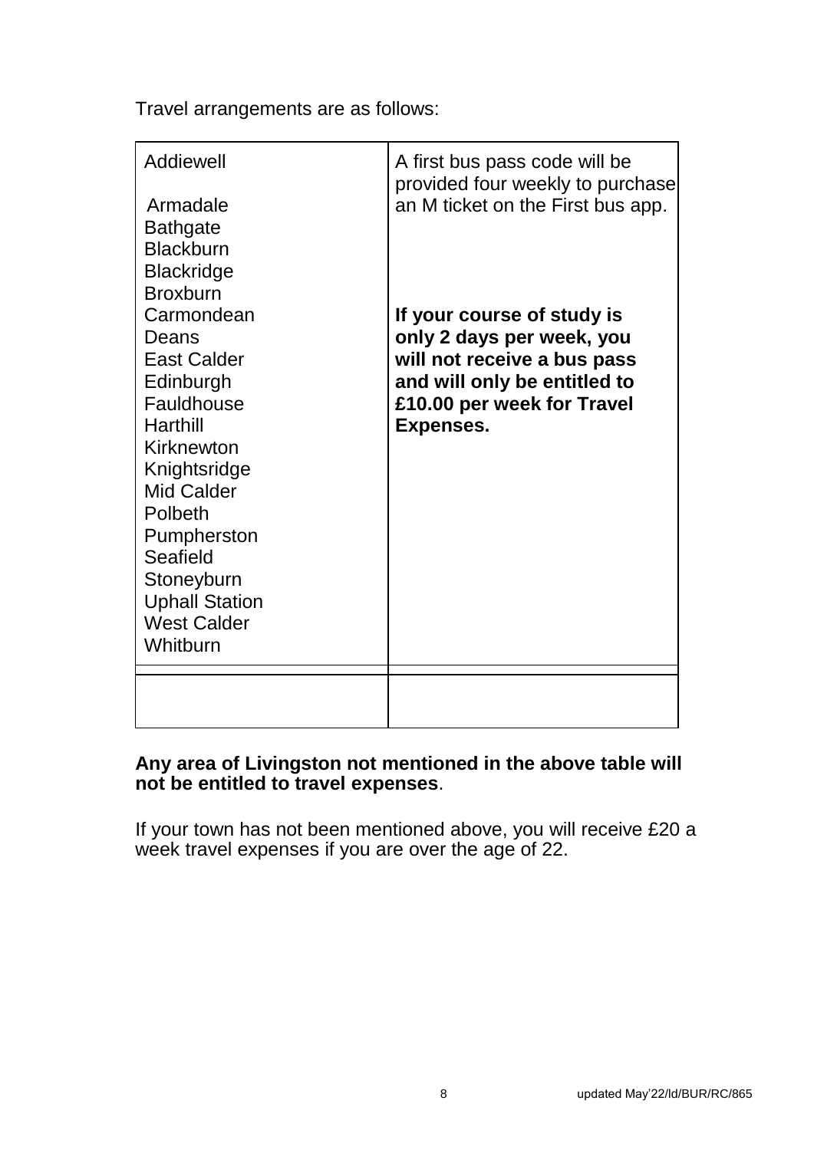Travel arrangements are as follows:

| Addiewell<br>Armadale<br><b>Bathgate</b><br><b>Blackburn</b><br><b>Blackridge</b><br><b>Broxburn</b><br>Carmondean | A first bus pass code will be<br>provided four weekly to purchase<br>an M ticket on the First bus app.<br>If your course of study is |
|--------------------------------------------------------------------------------------------------------------------|--------------------------------------------------------------------------------------------------------------------------------------|
| Deans<br><b>East Calder</b>                                                                                        | only 2 days per week, you<br>will not receive a bus pass                                                                             |
| Edinburgh<br>Fauldhouse<br>Harthill                                                                                | and will only be entitled to<br>£10.00 per week for Travel<br><b>Expenses.</b>                                                       |
| Kirknewton<br>Knightsridge                                                                                         |                                                                                                                                      |
| Mid Calder<br>Polbeth                                                                                              |                                                                                                                                      |
| Pumpherston<br>Seafield                                                                                            |                                                                                                                                      |
| Stoneyburn<br><b>Uphall Station</b>                                                                                |                                                                                                                                      |
| <b>West Calder</b><br>Whitburn                                                                                     |                                                                                                                                      |
|                                                                                                                    |                                                                                                                                      |

## **Any area of Livingston not mentioned in the above table will not be entitled to travel expenses**.

If your town has not been mentioned above, you will receive £20 a week travel expenses if you are over the age of 22.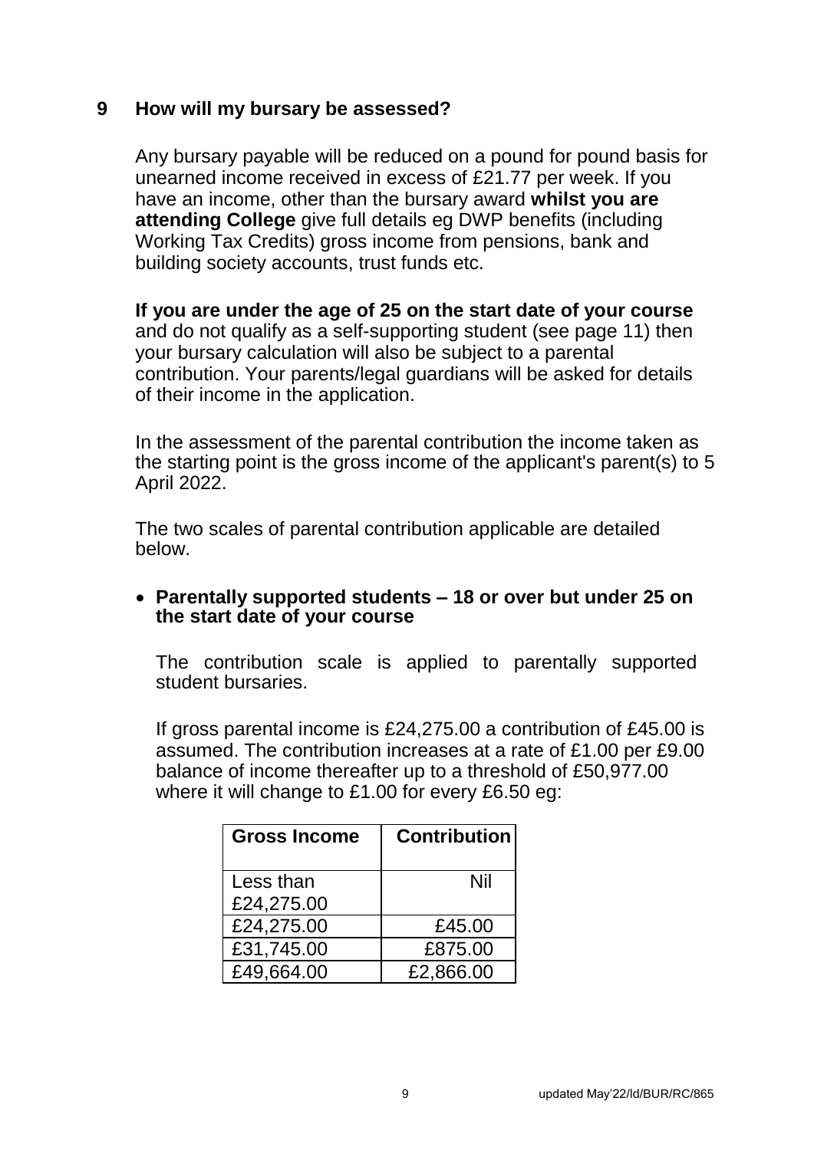#### <span id="page-9-0"></span>**9 How will my bursary be assessed?**

Any bursary payable will be reduced on a pound for pound basis for unearned income received in excess of £21.77 per week. If you have an income, other than the bursary award **whilst you are attending College** give full details eg DWP benefits (including Working Tax Credits) gross income from pensions, bank and building society accounts, trust funds etc.

#### **If you are under the age of 25 on the start date of your course**

and do not qualify as a self-supporting student (see page 11) then your bursary calculation will also be subject to a parental contribution. Your parents/legal guardians will be asked for details of their income in the application.

In the assessment of the parental contribution the income taken as the starting point is the gross income of the applicant's parent(s) to 5 April 2022.

The two scales of parental contribution applicable are detailed below.

#### **Parentally supported students – 18 or over but under 25 on the start date of your course**

The contribution scale is applied to parentally supported student bursaries.

If gross parental income is £24,275.00 a contribution of £45.00 is assumed. The contribution increases at a rate of £1.00 per £9.00 balance of income thereafter up to a threshold of £50,977.00 where it will change to £1.00 for every £6.50 eg:

| <b>Gross Income</b> | <b>Contribution</b> |
|---------------------|---------------------|
| Less than           | Nil                 |
| £24,275.00          |                     |
| £24,275.00          | £45.00              |
| £31,745.00          | £875.00             |
| £49,664.00          | £2,866.00           |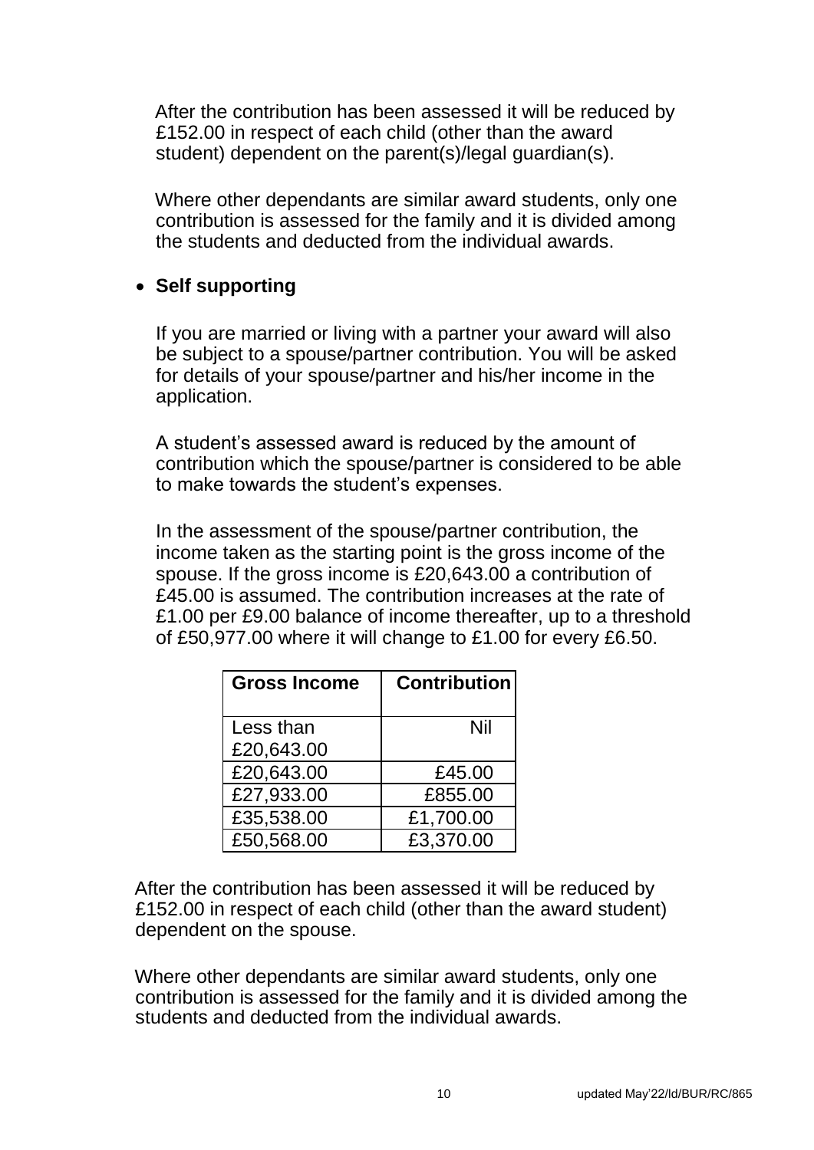After the contribution has been assessed it will be reduced by £152.00 in respect of each child (other than the award student) dependent on the parent(s)/legal guardian(s).

Where other dependants are similar award students, only one contribution is assessed for the family and it is divided among the students and deducted from the individual awards.

## **Self supporting**

If you are married or living with a partner your award will also be subject to a spouse/partner contribution. You will be asked for details of your spouse/partner and his/her income in the application.

A student's assessed award is reduced by the amount of contribution which the spouse/partner is considered to be able to make towards the student's expenses.

In the assessment of the spouse/partner contribution, the income taken as the starting point is the gross income of the spouse. If the gross income is £20,643.00 a contribution of £45.00 is assumed. The contribution increases at the rate of £1.00 per £9.00 balance of income thereafter, up to a threshold of £50,977.00 where it will change to £1.00 for every £6.50.

| <b>Gross Income</b> | <b>Contribution</b> |
|---------------------|---------------------|
| Less than           | Nil                 |
| £20,643.00          |                     |
| £20,643.00          | £45.00              |
| £27,933.00          | £855.00             |
| £35,538.00          | £1,700.00           |
| £50,568.00          | £3,370.00           |

After the contribution has been assessed it will be reduced by £152.00 in respect of each child (other than the award student) dependent on the spouse.

Where other dependants are similar award students, only one contribution is assessed for the family and it is divided among the students and deducted from the individual awards.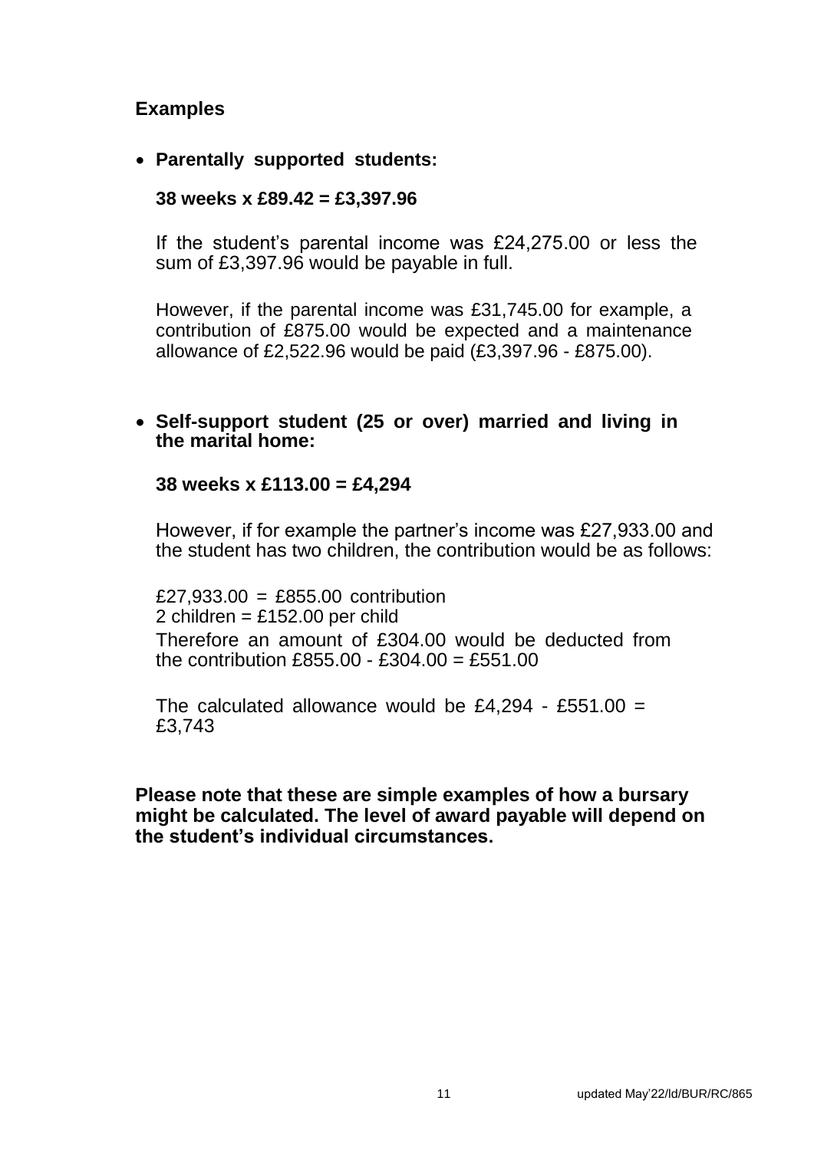## **Examples**

## **Parentally supported students:**

#### **38 weeks x £89.42 = £3,397.96**

If the student's parental income was £24,275.00 or less the sum of £3,397.96 would be payable in full.

However, if the parental income was £31,745.00 for example, a contribution of £875.00 would be expected and a maintenance allowance of £2,522.96 would be paid (£3,397.96 - £875.00).

#### **Self-support student (25 or over) married and living in the marital home:**

#### **38 weeks x £113.00 = £4,294**

However, if for example the partner's income was £27,933.00 and the student has two children, the contribution would be as follows:

£27,933.00 = £855.00 contribution 2 children =  $£152.00$  per child Therefore an amount of £304.00 would be deducted from the contribution £855.00 - £304.00 = £551.00

The calculated allowance would be £4,294 - £551.00 = £3,743

#### **Please note that these are simple examples of how a bursary might be calculated. The level of award payable will depend on the student's individual circumstances.**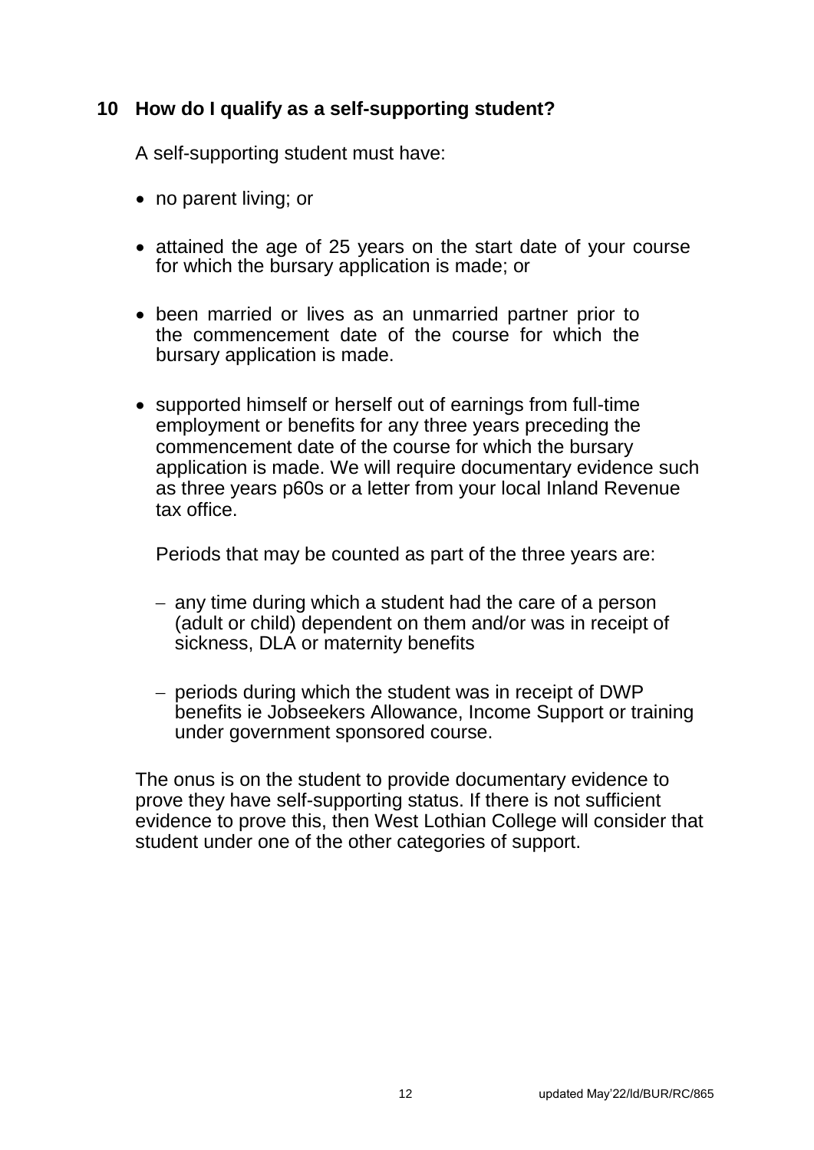## <span id="page-12-0"></span>**10 How do I qualify as a self-supporting student?**

A self-supporting student must have:

- no parent living; or
- attained the age of 25 years on the start date of your course for which the bursary application is made; or
- been married or lives as an unmarried partner prior to the commencement date of the course for which the bursary application is made.
- supported himself or herself out of earnings from full-time employment or benefits for any three years preceding the commencement date of the course for which the bursary application is made. We will require documentary evidence such as three years p60s or a letter from your local Inland Revenue tax office.

Periods that may be counted as part of the three years are:

- any time during which a student had the care of a person (adult or child) dependent on them and/or was in receipt of sickness, DLA or maternity benefits
- periods during which the student was in receipt of DWP benefits ie Jobseekers Allowance, Income Support or training under government sponsored course.

The onus is on the student to provide documentary evidence to prove they have self-supporting status. If there is not sufficient evidence to prove this, then West Lothian College will consider that student under one of the other categories of support.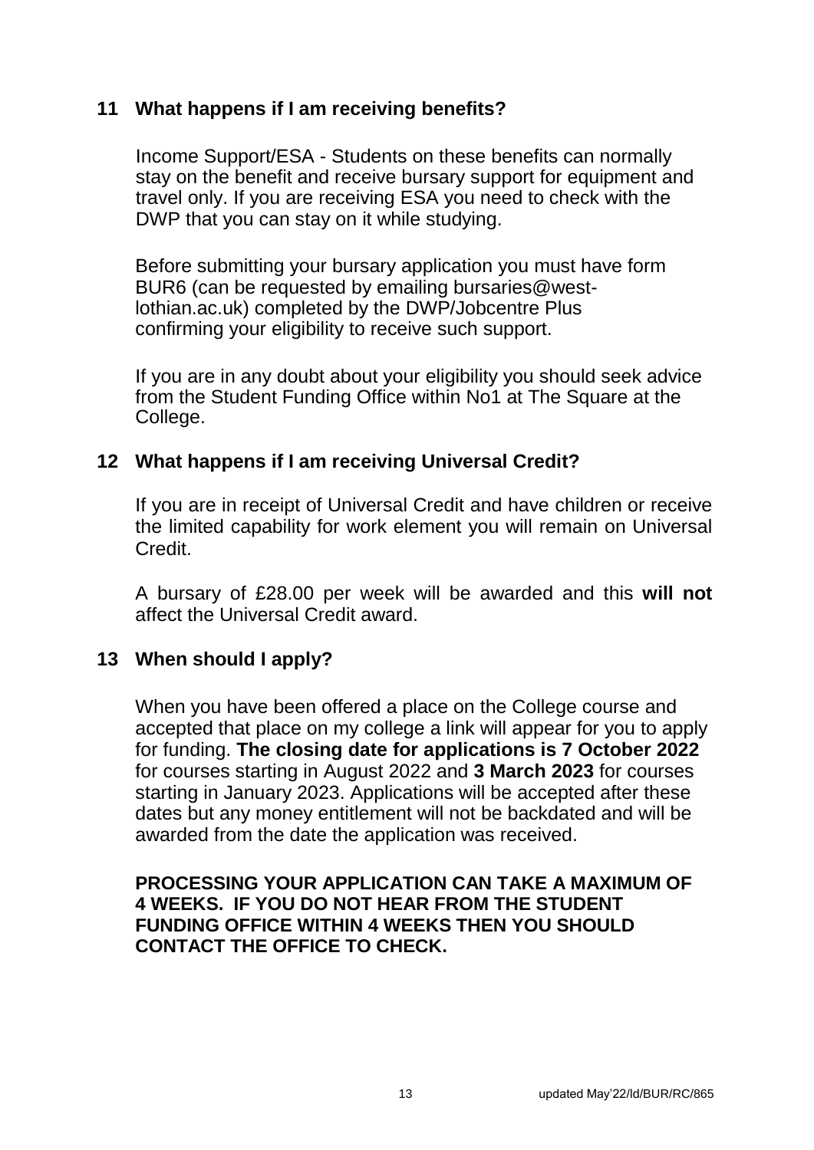## <span id="page-13-0"></span>**11 What happens if I am receiving benefits?**

Income Support/ESA - Students on these benefits can normally stay on the benefit and receive bursary support for equipment and travel only. If you are receiving ESA you need to check with the DWP that you can stay on it while studying.

Before submitting your bursary application you must have form BUR6 (can be requested by emailing bursaries@westlothian.ac.uk) completed by the DWP/Jobcentre Plus confirming your eligibility to receive such support.

If you are in any doubt about your eligibility you should seek advice from the Student Funding Office within No1 at The Square at the College.

#### **12 What happens if I am receiving Universal Credit?**

If you are in receipt of Universal Credit and have children or receive the limited capability for work element you will remain on Universal Credit.

A bursary of £28.00 per week will be awarded and this **will not** affect the Universal Credit award.

## **13 When should I apply?**

When you have been offered a place on the College course and accepted that place on my college a link will appear for you to apply for funding. **The closing date for applications is 7 October 2022** for courses starting in August 2022 and **3 March 2023** for courses starting in January 2023. Applications will be accepted after these dates but any money entitlement will not be backdated and will be awarded from the date the application was received.

#### **PROCESSING YOUR APPLICATION CAN TAKE A MAXIMUM OF 4 WEEKS. IF YOU DO NOT HEAR FROM THE STUDENT FUNDING OFFICE WITHIN 4 WEEKS THEN YOU SHOULD CONTACT THE OFFICE TO CHECK.**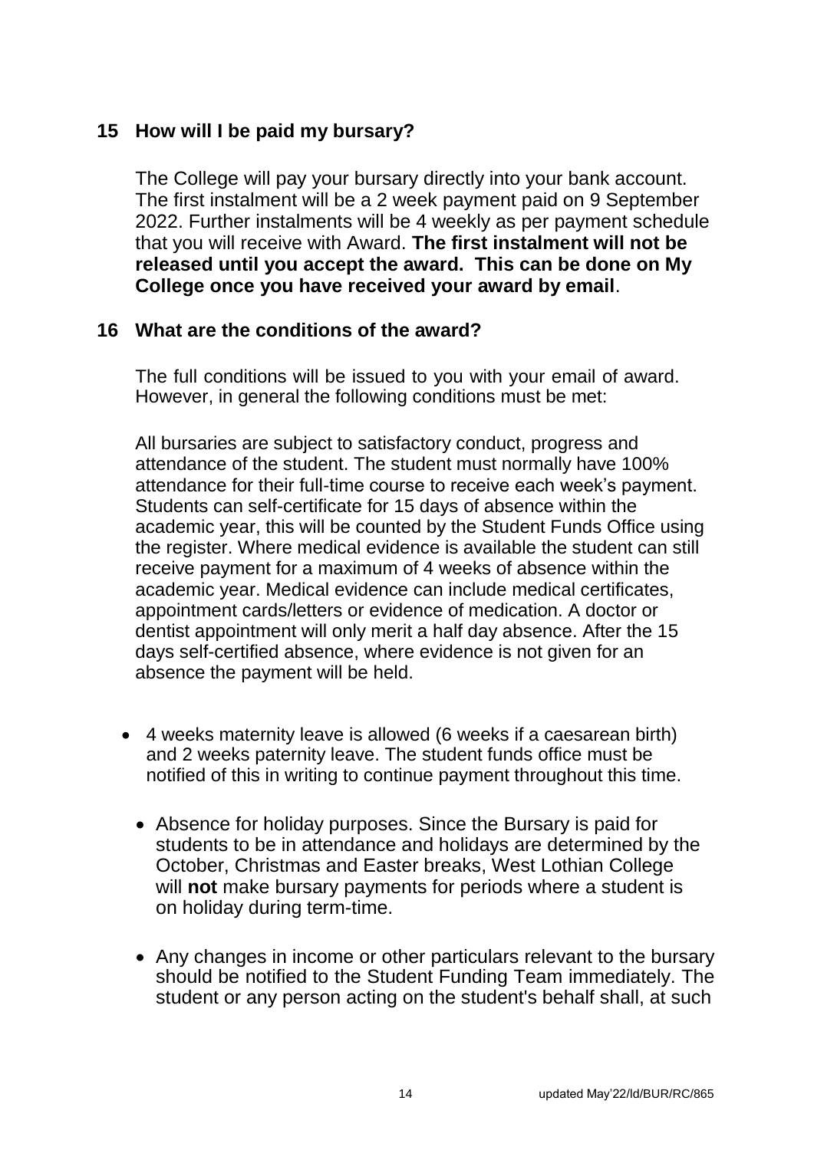## <span id="page-14-0"></span>**15 How will I be paid my bursary?**

The College will pay your bursary directly into your bank account. The first instalment will be a 2 week payment paid on 9 September 2022. Further instalments will be 4 weekly as per payment schedule that you will receive with Award. **The first instalment will not be released until you accept the award. This can be done on My College once you have received your award by email**.

## **16 What are the conditions of the award?**

The full conditions will be issued to you with your email of award. However, in general the following conditions must be met:

All bursaries are subject to satisfactory conduct, progress and attendance of the student. The student must normally have 100% attendance for their full-time course to receive each week's payment. Students can self-certificate for 15 days of absence within the academic year, this will be counted by the Student Funds Office using the register. Where medical evidence is available the student can still receive payment for a maximum of 4 weeks of absence within the academic year. Medical evidence can include medical certificates, appointment cards/letters or evidence of medication. A doctor or dentist appointment will only merit a half day absence. After the 15 days self-certified absence, where evidence is not given for an absence the payment will be held.

- 4 weeks maternity leave is allowed (6 weeks if a caesarean birth) and 2 weeks paternity leave. The student funds office must be notified of this in writing to continue payment throughout this time.
	- Absence for holiday purposes. Since the Bursary is paid for students to be in attendance and holidays are determined by the October, Christmas and Easter breaks, West Lothian College will **not** make bursary payments for periods where a student is on holiday during term-time.
	- Any changes in income or other particulars relevant to the bursary should be notified to the Student Funding Team immediately. The student or any person acting on the student's behalf shall, at such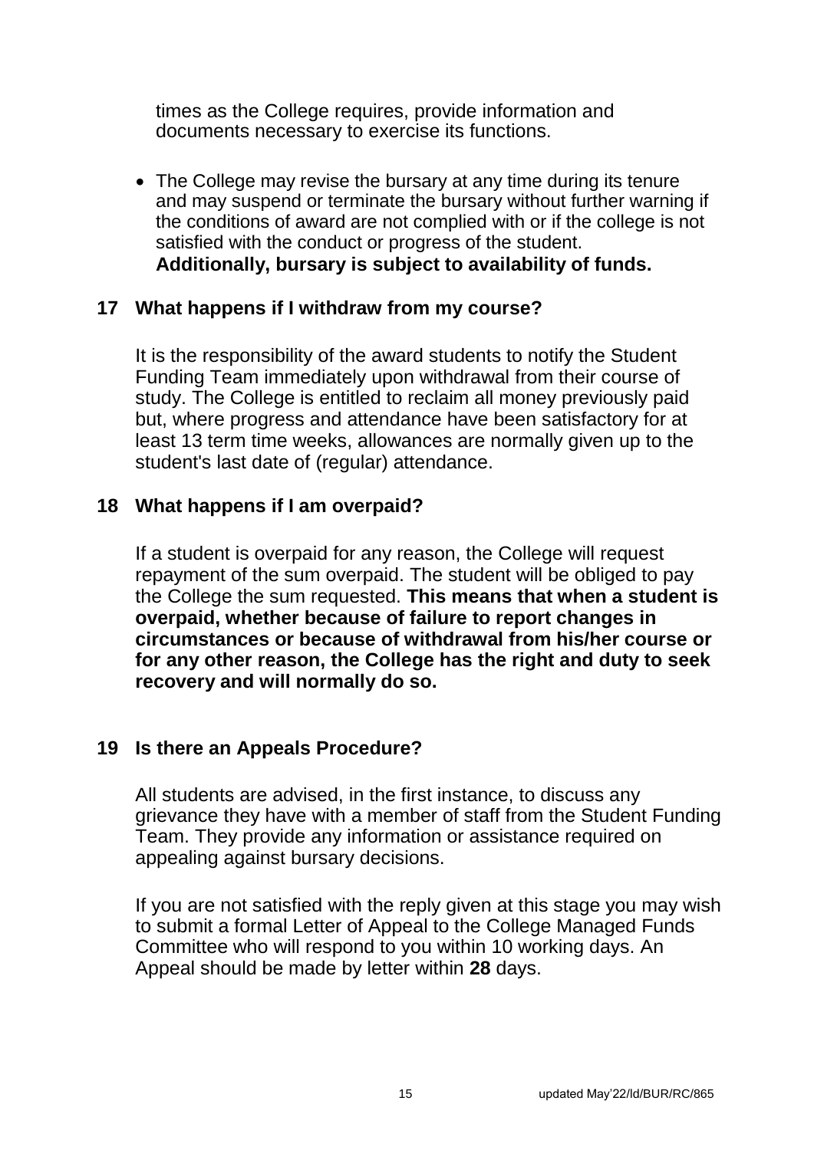<span id="page-15-0"></span>times as the College requires, provide information and documents necessary to exercise its functions.

• The College may revise the bursary at any time during its tenure and may suspend or terminate the bursary without further warning if the conditions of award are not complied with or if the college is not satisfied with the conduct or progress of the student. **Additionally, bursary is subject to availability of funds.** 

#### **17 What happens if I withdraw from my course?**

It is the responsibility of the award students to notify the Student Funding Team immediately upon withdrawal from their course of study. The College is entitled to reclaim all money previously paid but, where progress and attendance have been satisfactory for at least 13 term time weeks, allowances are normally given up to the student's last date of (regular) attendance.

#### **18 What happens if I am overpaid?**

If a student is overpaid for any reason, the College will request repayment of the sum overpaid. The student will be obliged to pay the College the sum requested. **This means that when a student is overpaid, whether because of failure to report changes in circumstances or because of withdrawal from his/her course or for any other reason, the College has the right and duty to seek recovery and will normally do so.** 

## **19 Is there an Appeals Procedure?**

All students are advised, in the first instance, to discuss any grievance they have with a member of staff from the Student Funding Team. They provide any information or assistance required on appealing against bursary decisions.

If you are not satisfied with the reply given at this stage you may wish to submit a formal Letter of Appeal to the College Managed Funds Committee who will respond to you within 10 working days. An Appeal should be made by letter within **28** days.